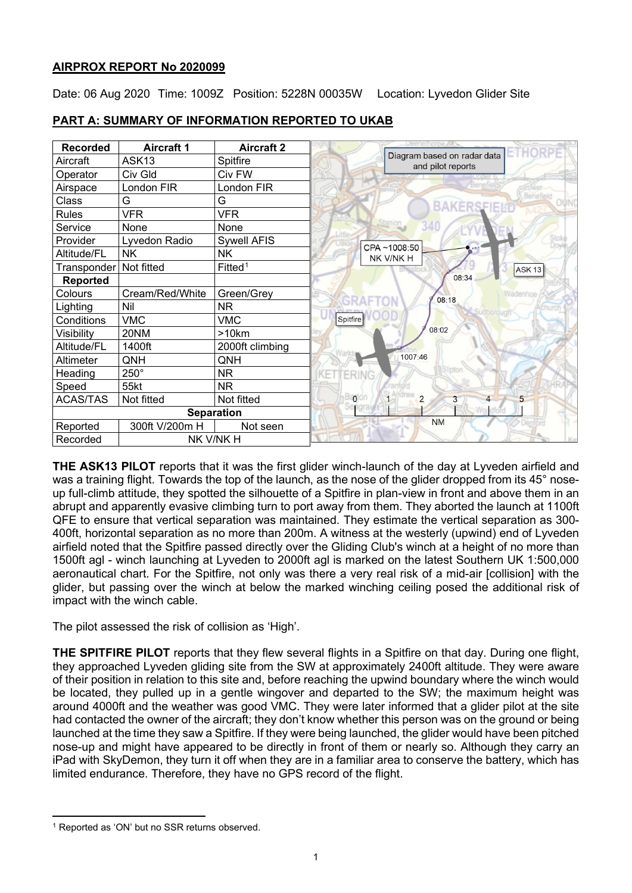# **AIRPROX REPORT No 2020099**

Date: 06 Aug 2020 Time: 1009Z Position: 5228N 00035W Location: Lyvedon Glider Site

| <b>Recorded</b>   | <b>Aircraft 1</b> | <b>Aircraft 2</b>   | ETHORF                                           |
|-------------------|-------------------|---------------------|--------------------------------------------------|
| Aircraft          | ASK <sub>13</sub> | Spitfire            | Diagram based on radar data<br>and pilot reports |
| Operator          | Civ Gld           | Civ FW              |                                                  |
| Airspace          | London FIR        | London FIR          |                                                  |
| Class             | G                 | G                   |                                                  |
| <b>Rules</b>      | <b>VFR</b>        | <b>VFR</b>          |                                                  |
| Service           | None              | None                | Stanion                                          |
| Provider          | Lyvedon Radio     | <b>Sywell AFIS</b>  | CPA~1008:50                                      |
| Altitude/FL       | <b>NK</b>         | <b>NK</b>           | NK V/NK H                                        |
| Transponder       | Not fitted        | Fitted <sup>1</sup> | <b>ASK 13</b>                                    |
| Reported          |                   |                     | 08:34                                            |
| Colours           | Cream/Red/White   | Green/Grey          | 08:18                                            |
| Lighting          | Nil               | <b>NR</b>           |                                                  |
| Conditions        | <b>VMC</b>        | <b>VMC</b>          | Spitfire                                         |
| Visibility        | 20NM              | >10km               | 08:02                                            |
| Altitude/FL       | 1400ft            | 2000ft climbing     |                                                  |
| Altimeter         | QNH               | QNH                 | 1007:46                                          |
| Heading           | $250^\circ$       | <b>NR</b>           |                                                  |
| Speed             | 55kt              | NR.                 |                                                  |
| <b>ACAS/TAS</b>   | Not fitted        | Not fitted          | $\Omega$<br>$\overline{2}$<br>5<br>3             |
| <b>Separation</b> |                   |                     |                                                  |
| Reported          | 300ft V/200m H    | Not seen            | <b>NM</b>                                        |
| Recorded          | NK V/NK H         |                     |                                                  |

# **PART A: SUMMARY OF INFORMATION REPORTED TO UKAB**

**THE ASK13 PILOT** reports that it was the first glider winch-launch of the day at Lyveden airfield and was a training flight. Towards the top of the launch, as the nose of the glider dropped from its 45° noseup full-climb attitude, they spotted the silhouette of a Spitfire in plan-view in front and above them in an abrupt and apparently evasive climbing turn to port away from them. They aborted the launch at 1100ft QFE to ensure that vertical separation was maintained. They estimate the vertical separation as 300- 400ft, horizontal separation as no more than 200m. A witness at the westerly (upwind) end of Lyveden airfield noted that the Spitfire passed directly over the Gliding Club's winch at a height of no more than 1500ft agl - winch launching at Lyveden to 2000ft agl is marked on the latest Southern UK 1:500,000 aeronautical chart. For the Spitfire, not only was there a very real risk of a mid-air [collision] with the glider, but passing over the winch at below the marked winching ceiling posed the additional risk of impact with the winch cable.

The pilot assessed the risk of collision as 'High'.

**THE SPITFIRE PILOT** reports that they flew several flights in a Spitfire on that day. During one flight, they approached Lyveden gliding site from the SW at approximately 2400ft altitude. They were aware of their position in relation to this site and, before reaching the upwind boundary where the winch would be located, they pulled up in a gentle wingover and departed to the SW; the maximum height was around 4000ft and the weather was good VMC. They were later informed that a glider pilot at the site had contacted the owner of the aircraft; they don't know whether this person was on the ground or being launched at the time they saw a Spitfire. If they were being launched, the glider would have been pitched nose-up and might have appeared to be directly in front of them or nearly so. Although they carry an iPad with SkyDemon, they turn it off when they are in a familiar area to conserve the battery, which has limited endurance. Therefore, they have no GPS record of the flight.

<span id="page-0-0"></span><sup>&</sup>lt;sup>1</sup> Reported as 'ON' but no SSR returns observed.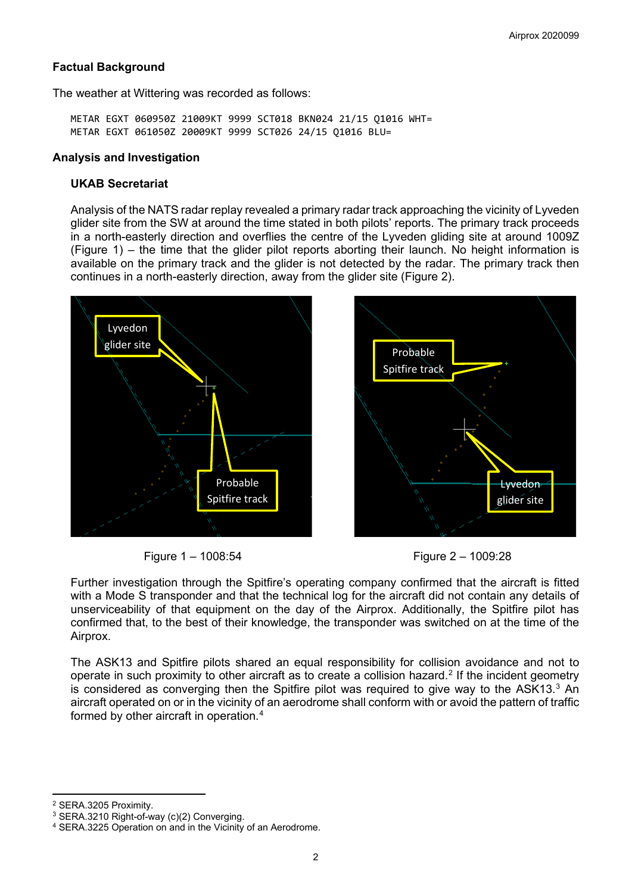#### **Factual Background**

The weather at Wittering was recorded as follows:

METAR EGXT 060950Z 21009KT 9999 SCT018 BKN024 21/15 Q1016 WHT= METAR EGXT 061050Z 20009KT 9999 SCT026 24/15 Q1016 BLU=

#### **Analysis and Investigation**

#### **UKAB Secretariat**

Analysis of the NATS radar replay revealed a primary radar track approaching the vicinity of Lyveden glider site from the SW at around the time stated in both pilots' reports. The primary track proceeds in a north-easterly direction and overflies the centre of the Lyveden gliding site at around 1009Z (Figure 1) – the time that the glider pilot reports aborting their launch. No height information is available on the primary track and the glider is not detected by the radar. The primary track then continues in a north-easterly direction, away from the glider site (Figure 2).



Figure 1 – 1008:54 Figure 2 – 1009:28



Further investigation through the Spitfire's operating company confirmed that the aircraft is fitted with a Mode S transponder and that the technical log for the aircraft did not contain any details of unserviceability of that equipment on the day of the Airprox. Additionally, the Spitfire pilot has confirmed that, to the best of their knowledge, the transponder was switched on at the time of the Airprox.

The ASK13 and Spitfire pilots shared an equal responsibility for collision avoidance and not to operate in such proximity to other aircraft as to create a collision hazard. [2](#page-1-0) If the incident geometry is considered as converging then the Spitfire pilot was required to give way to the ASK13. [3](#page-1-1) An aircraft operated on or in the vicinity of an aerodrome shall conform with or avoid the pattern of traffic formed by other aircraft in operation. [4](#page-1-2)

<span id="page-1-0"></span><sup>2</sup> SERA.3205 Proximity.

<span id="page-1-1"></span><sup>&</sup>lt;sup>3</sup> SERA.3210 Right-of-way (c)(2) Converging.

<span id="page-1-2"></span><sup>4</sup> SERA.3225 Operation on and in the Vicinity of an Aerodrome.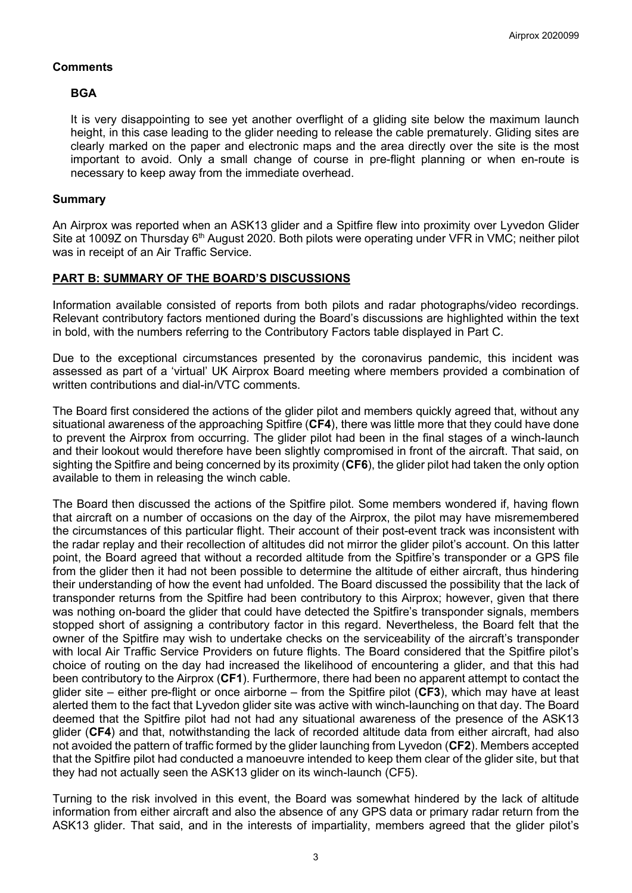# **Comments**

#### **BGA**

It is very disappointing to see yet another overflight of a gliding site below the maximum launch height, in this case leading to the glider needing to release the cable prematurely. Gliding sites are clearly marked on the paper and electronic maps and the area directly over the site is the most important to avoid. Only a small change of course in pre-flight planning or when en-route is necessary to keep away from the immediate overhead.

## **Summary**

An Airprox was reported when an ASK13 glider and a Spitfire flew into proximity over Lyvedon Glider Site at 1009Z on Thursday 6<sup>th</sup> August 2020. Both pilots were operating under VFR in VMC; neither pilot was in receipt of an Air Traffic Service.

# **PART B: SUMMARY OF THE BOARD'S DISCUSSIONS**

Information available consisted of reports from both pilots and radar photographs/video recordings. Relevant contributory factors mentioned during the Board's discussions are highlighted within the text in bold, with the numbers referring to the Contributory Factors table displayed in Part C.

Due to the exceptional circumstances presented by the coronavirus pandemic, this incident was assessed as part of a 'virtual' UK Airprox Board meeting where members provided a combination of written contributions and dial-in/VTC comments.

The Board first considered the actions of the glider pilot and members quickly agreed that, without any situational awareness of the approaching Spitfire (**CF4**), there was little more that they could have done to prevent the Airprox from occurring. The glider pilot had been in the final stages of a winch-launch and their lookout would therefore have been slightly compromised in front of the aircraft. That said, on sighting the Spitfire and being concerned by its proximity (**CF6**), the glider pilot had taken the only option available to them in releasing the winch cable.

The Board then discussed the actions of the Spitfire pilot. Some members wondered if, having flown that aircraft on a number of occasions on the day of the Airprox, the pilot may have misremembered the circumstances of this particular flight. Their account of their post-event track was inconsistent with the radar replay and their recollection of altitudes did not mirror the glider pilot's account. On this latter point, the Board agreed that without a recorded altitude from the Spitfire's transponder or a GPS file from the glider then it had not been possible to determine the altitude of either aircraft, thus hindering their understanding of how the event had unfolded. The Board discussed the possibility that the lack of transponder returns from the Spitfire had been contributory to this Airprox; however, given that there was nothing on-board the glider that could have detected the Spitfire's transponder signals, members stopped short of assigning a contributory factor in this regard. Nevertheless, the Board felt that the owner of the Spitfire may wish to undertake checks on the serviceability of the aircraft's transponder with local Air Traffic Service Providers on future flights. The Board considered that the Spitfire pilot's choice of routing on the day had increased the likelihood of encountering a glider, and that this had been contributory to the Airprox (**CF1**). Furthermore, there had been no apparent attempt to contact the glider site – either pre-flight or once airborne – from the Spitfire pilot (**CF3**), which may have at least alerted them to the fact that Lyvedon glider site was active with winch-launching on that day. The Board deemed that the Spitfire pilot had not had any situational awareness of the presence of the ASK13 glider (**CF4**) and that, notwithstanding the lack of recorded altitude data from either aircraft, had also not avoided the pattern of traffic formed by the glider launching from Lyvedon (**CF2**). Members accepted that the Spitfire pilot had conducted a manoeuvre intended to keep them clear of the glider site, but that they had not actually seen the ASK13 glider on its winch-launch (CF5).

Turning to the risk involved in this event, the Board was somewhat hindered by the lack of altitude information from either aircraft and also the absence of any GPS data or primary radar return from the ASK13 glider. That said, and in the interests of impartiality, members agreed that the glider pilot's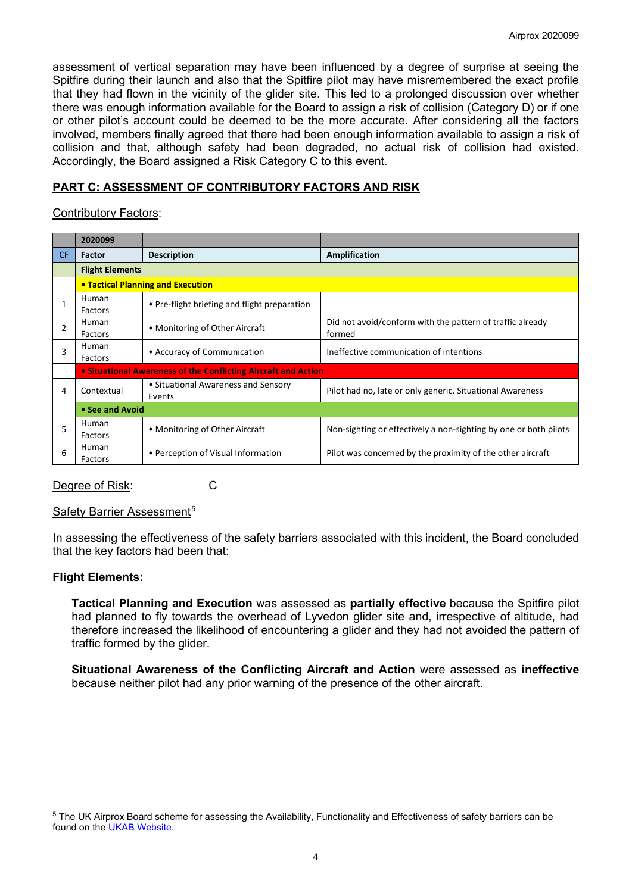assessment of vertical separation may have been influenced by a degree of surprise at seeing the Spitfire during their launch and also that the Spitfire pilot may have misremembered the exact profile that they had flown in the vicinity of the glider site. This led to a prolonged discussion over whether there was enough information available for the Board to assign a risk of collision (Category D) or if one or other pilot's account could be deemed to be the more accurate. After considering all the factors involved, members finally agreed that there had been enough information available to assign a risk of collision and that, although safety had been degraded, no actual risk of collision had existed. Accordingly, the Board assigned a Risk Category C to this event.

# **PART C: ASSESSMENT OF CONTRIBUTORY FACTORS AND RISK**

# Contributory Factors:

|    | 2020099                                                        |                                               |                                                                     |  |
|----|----------------------------------------------------------------|-----------------------------------------------|---------------------------------------------------------------------|--|
| CF | Factor                                                         | <b>Description</b>                            | <b>Amplification</b>                                                |  |
|    | <b>Flight Elements</b>                                         |                                               |                                                                     |  |
|    | <b>• Tactical Planning and Execution</b>                       |                                               |                                                                     |  |
|    | Human<br>Factors                                               | • Pre-flight briefing and flight preparation  |                                                                     |  |
| 2  | Human<br>Factors                                               | • Monitoring of Other Aircraft                | Did not avoid/conform with the pattern of traffic already<br>formed |  |
| 3  | Human<br>Factors                                               | • Accuracy of Communication                   | Ineffective communication of intentions                             |  |
|    | • Situational Awareness of the Conflicting Aircraft and Action |                                               |                                                                     |  |
| 4  | Contextual                                                     | • Situational Awareness and Sensory<br>Events | Pilot had no, late or only generic, Situational Awareness           |  |
|    | • See and Avoid                                                |                                               |                                                                     |  |
| 5  | Human<br>Factors                                               | • Monitoring of Other Aircraft                | Non-sighting or effectively a non-sighting by one or both pilots    |  |
| 6  | Human<br>Factors                                               | • Perception of Visual Information            | Pilot was concerned by the proximity of the other aircraft          |  |

#### Degree of Risk: C

#### Safety Barrier Assessment<sup>[5](#page-3-0)</sup>

In assessing the effectiveness of the safety barriers associated with this incident, the Board concluded that the key factors had been that:

# **Flight Elements:**

**Tactical Planning and Execution** was assessed as **partially effective** because the Spitfire pilot had planned to fly towards the overhead of Lyvedon glider site and, irrespective of altitude, had therefore increased the likelihood of encountering a glider and they had not avoided the pattern of traffic formed by the glider.

**Situational Awareness of the Conflicting Aircraft and Action** were assessed as **ineffective** because neither pilot had any prior warning of the presence of the other aircraft.

<span id="page-3-0"></span><sup>&</sup>lt;sup>5</sup> The UK Airprox Board scheme for assessing the Availability, Functionality and Effectiveness of safety barriers can be found on the [UKAB Website.](http://www.airproxboard.org.uk/Learn-more/Airprox-Barrier-Assessment/)